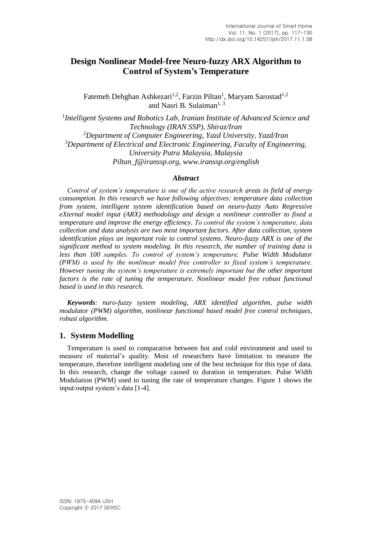# **Design Nonlinear Model-free Neuro-fuzzy ARX Algorithm to Control of System's Temperature**

Fatemeh Dehghan Ashkezari<sup>1,2</sup>, Farzin Piltan<sup>1</sup>, Maryam Sarostad<sup>1,2</sup> and Nasri B. Sulaiman<sup>1, 3</sup>

*1 Intelligent Systems and Robotics Lab, Iranian Institute of Advanced Science and Technology (IRAN SSP), Shiraz/Iran <sup>2</sup>Department of Computer Engineering, Yazd University, Yazd/Iran <sup>3</sup>Department of Electrical and Electronic Engineering, Faculty of Engineering, University Putra Malaysia, Malaysia [Piltan\\_f@iranssp.org,](mailto:Piltan_f@iranssp.org) www.iranssp.org/english*

#### *Abstract*

*Control of system's temperature is one of the active research areas in field of energy consumption. In this research we have following objectives: temperature data collection from system, intelligent system identification based on neuro-fuzzy Auto Regressive eXternal model input (ARX) methodology and design a nonlinear controller to fixed a temperature and improve the energy efficiency. To control the system's temperature, data collection and data analysis are two most important factors. After data collection, system identification plays an important role to control systems. Neuro-fuzzy ARX is one of the significant method to system modeling. In this research, the number of training data is less than 100 samples. To control of system's temperature, Pulse Width Modulator (PWM) is used by the nonlinear model free controller to fixed system's temperature. However tuning the system's temperature is extremely important but the other important factors is the rate of tuning the temperature. Nonlinear model free robust functional based is used in this research.*

*Keywords: nuro-fuzzy system modeling, ARX identified algorithm, pulse width modulator (PWM) algorithm, nonlinear functional based model free control techniques, robust algorithm.*

### **1. System Modelling**

Temperature is used to comparative between hot and cold environment and used to measure of material's quality. Most of researchers have limitation to measure the temperature, therefore intelligent modeling one of the best technique for this type of data. In this research, change the voltage caused to duration in temperature. Pulse Width Modulation (PWM) used to tuning the rate of temperature changes. Figure 1 shows the input/output system's data [1-4].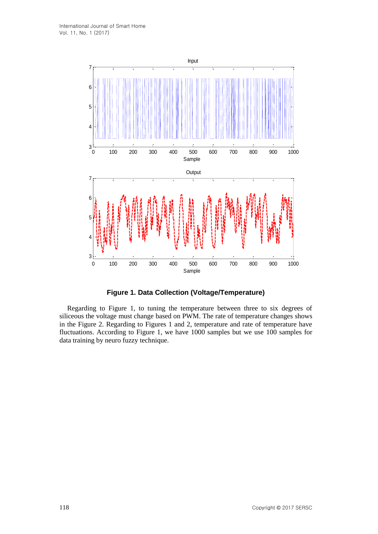

**Figure 1. Data Collection (Voltage/Temperature)**

Regarding to Figure 1, to tuning the temperature between three to six degrees of siliceous the voltage must change based on PWM. The rate of temperature changes shows in the Figure 2. Regarding to Figures 1 and 2, temperature and rate of temperature have fluctuations. According to Figure 1, we have 1000 samples but we use 100 samples for data training by neuro fuzzy technique.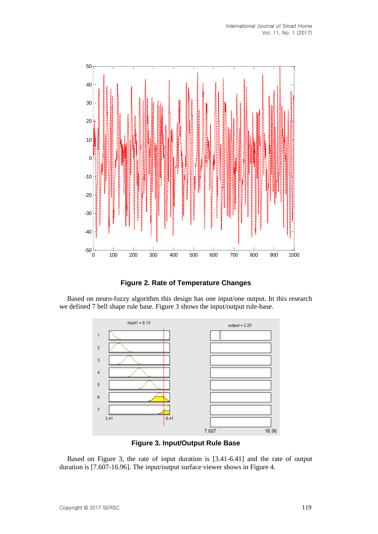

**Figure 2. Rate of Temperature Changes**

Based on neuro-fuzzy algorithm this design has one input/one output. In this research we defined 7 bell shape rule base. Figure 3 shows the input/output rule-base.



**Figure 3. Input/Output Rule Base**

Based on Figure 3, the rate of input duration is [3.41-6.41] and the rate of output duration is [7.607-16.96]. The input/output surface viewer shows in Figure 4.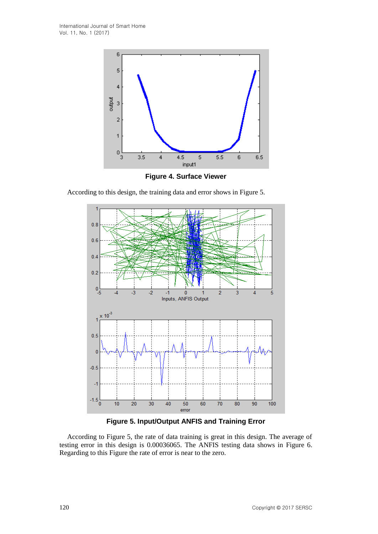

**Figure 4. Surface Viewer**

According to this design, the training data and error shows in Figure 5.



**Figure 5. Input/Output ANFIS and Training Error**

According to Figure 5, the rate of data training is great in this design. The average of testing error in this design is 0.00036065. The ANFIS testing data shows in Figure 6. Regarding to this Figure the rate of error is near to the zero.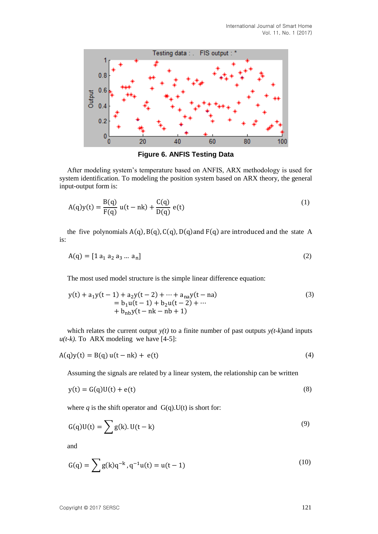

**Figure 6. ANFIS Testing Data**

After modeling system's temperature based on ANFIS, ARX methodology is used for system identification. To modeling the position system based on ARX theory, the general input-output form is:

$$
A(q)y(t) = \frac{B(q)}{F(q)} u(t - nk) + \frac{C(q)}{D(q)} e(t)
$$
 (1)

the five polynomials  $A(q)$ ,  $B(q)$ ,  $C(q)$ ,  $D(q)$  and  $F(q)$  are introduced and the state A is:

$$
A(q) = [1 a_1 a_2 a_3 ... a_n]
$$
 (2)

The most used model structure is the simple linear difference equation:

$$
y(t) + a_1y(t-1) + a_2y(t-2) + \dots + a_{na}y(t-na)
$$
  
= b\_1u(t-1) + b\_2u(t-2) + \dots  
+ b\_{nb}y(t-nk-nb+1) (3)

which relates the current output  $y(t)$  to a finite number of past outputs  $y(t-k)$  and inputs  $u(t-k)$ . To ARX modeling we have [4-5]:

$$
A(q)y(t) = B(q) u(t - nk) + e(t)
$$
\n
$$
(4)
$$

Assuming the signals are related by a linear system, the relationship can be written

$$
y(t) = G(q)U(t) + e(t)
$$
\n(8)

where  $q$  is the shift operator and  $G(q)$ . U(t) is short for:

$$
G(q)U(t) = \sum g(k)U(t - k)
$$
\n(9)

and

$$
G(q) = \sum g(k)q^{-k}, q^{-1}u(t) = u(t-1)
$$
\n(10)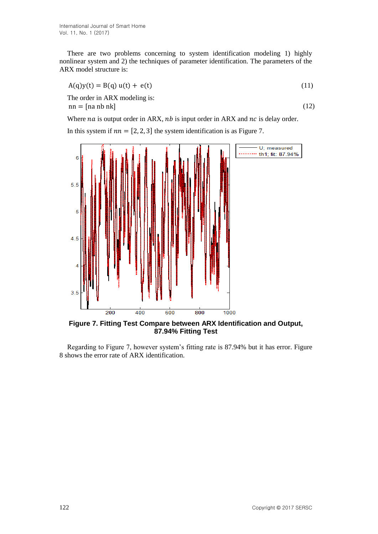There are two problems concerning to system identification modeling 1) highly nonlinear system and 2) the techniques of parameter identification. The parameters of the ARX model structure is:

$$
A(q)y(t) = B(q) u(t) + e(t)
$$
\n(11)

The order in ARX modeling is:  $nn = [na nb nk]$  (12)

Where  $na$  is output order in ARX,  $nb$  is input order in ARX and  $nc$  is delay order.

In this system if  $nn = [2, 2, 3]$  the system identification is as Figure 7.



**Figure 7. Fitting Test Compare between ARX Identification and Output, 87.94% Fitting Test**

Regarding to Figure 7, however system's fitting rate is 87.94% but it has error. Figure 8 shows the error rate of ARX identification.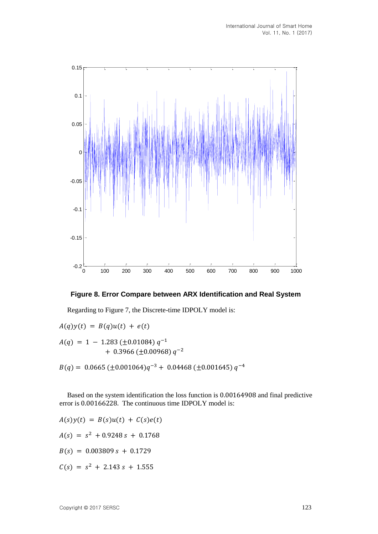

### **Figure 8. Error Compare between ARX Identification and Real System**

Regarding to Figure 7, the Discrete-time IDPOLY model is:

 $A(q)y(t) = B(q)u(t) + e(t)$  $A(q) = 1 - 1.283 \ (\pm 0.01084) \ q^{-1}$  $+$  0.3966 ( $\pm$ 0.00968)  $q^{-2}$  $B(q) = 0.0665 \left( \pm 0.001064 \right) q^{-3} + 0.04468 \left( \pm 0.001645 \right) q^{-4}$ 

Based on the system identification the loss function is 0.00164908 and final predictive error is 0.00166228. The continuous time IDPOLY model is:

$$
A(s)y(t) = B(s)u(t) + C(s)e(t)
$$
  
\n
$$
A(s) = s^2 + 0.9248 s + 0.1768
$$
  
\n
$$
B(s) = 0.003809 s + 0.1729
$$
  
\n
$$
C(s) = s^2 + 2.143 s + 1.555
$$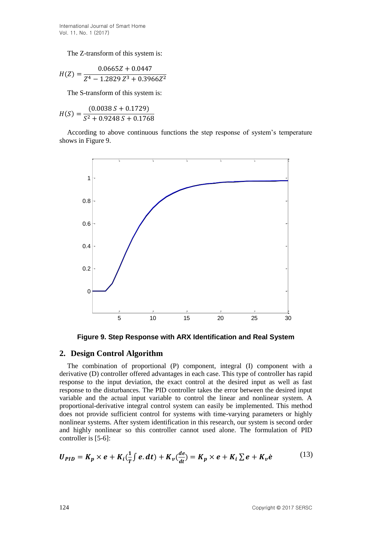The Z-transform of this system is:

$$
H(Z) = \frac{0.0665Z + 0.0447}{Z^4 - 1.2829 Z^3 + 0.3966Z^2}
$$

The S-transform of this system is:

$$
H(S) = \frac{(0.0038 S + 0.1729)}{S^2 + 0.9248 S + 0.1768}
$$

According to above continuous functions the step response of system's temperature shows in Figure 9.



**Figure 9. Step Response with ARX Identification and Real System**

# **2. Design Control Algorithm**

The combination of proportional (P) component, integral (I) component with a derivative (D) controller offered advantages in each case. This type of controller has rapid response to the input deviation, the exact control at the desired input as well as fast response to the disturbances. The PID controller takes the error between the desired input variable and the actual input variable to control the linear and nonlinear system. A proportional-derivative integral control system can easily be implemented. This method does not provide sufficient control for systems with time-varying parameters or highly nonlinear systems. After system identification in this research, our system is second order and highly nonlinear so this controller cannot used alone. The formulation of PID controller is [5-6]:

$$
U_{PID} = K_p \times e + K_i(\frac{1}{T} \int e \cdot dt) + K_v(\frac{de}{dt}) = K_p \times e + K_i \sum e + K_v \dot{e}
$$
 (13)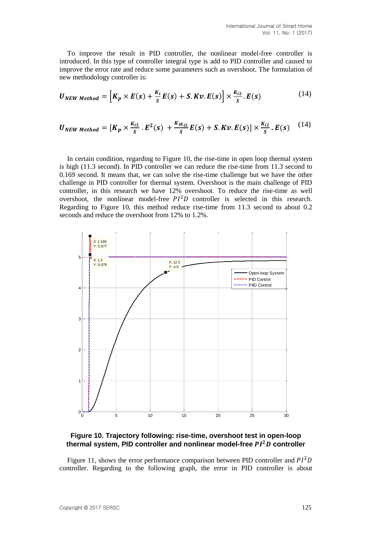To improve the result in PID controller, the nonlinear model-free controller is introduced. In this type of controller integral type is add to PID controller and caused to improve the error rate and reduce some parameters such as overshoot. The formulation of new methodology controller is:

$$
U_{NEW Method} = \left[K_p \times E(s) + \frac{K_i}{S}E(s) + S.Kv.E(s)\right] \times \frac{K_{i2}}{S}.E(s)
$$
 (14)

$$
U_{NEW Method} = [K_p \times \frac{K_{i2}}{S} \cdot E^2(s) + \frac{K_{iK_{i2}}}{S}E(s) + S.Kv.E(s)] \times \frac{K_{i2}}{S} \cdot E(s) \quad (14)
$$

In certain condition, regarding to Figure 10, the rise-time in open loop thermal system is high (11.3 second). In PID controller we can reduce the rise-time from 11.3 second to 0.169 second. It means that, we can solve the rise-time challenge but we have the other challenge in PID controller for thermal system. Overshoot is the main challenge of PID controller, in this research we have 12% overshoot. To reduce the rise-time as well overshoot, the nonlinear model-free  $PI<sup>2</sup>D$  controller is selected in this research. Regarding to Figure 10, this method reduce rise-time from 11.3 second to about 0.2 seconds and reduce the overshoot from 12% to 1.2%.



# **Figure 10. Trajectory following: rise-time, overshoot test in open-loop thermal system, PID controller and nonlinear model-free controller**

Figure 11, shows the error performance comparison between PID controller and  $PI^2D$ controller. Regarding to the following graph, the error in PID controller is about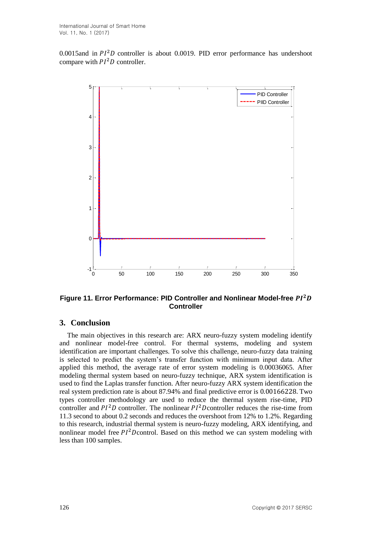0.0015and in  $PI<sup>2</sup>D$  controller is about 0.0019. PID error performance has undershoot compare with  $PI<sup>2</sup>D$  controller.



### **Figure 11. Error Performance: PID Controller and Nonlinear Model-free Controller**

# **3. Conclusion**

The main objectives in this research are: ARX neuro-fuzzy system modeling identify and nonlinear model-free control. For thermal systems, modeling and system identification are important challenges. To solve this challenge, neuro-fuzzy data training is selected to predict the system's transfer function with minimum input data. After applied this method, the average rate of error system modeling is 0.00036065. After modeling thermal system based on neuro-fuzzy technique, ARX system identification is used to find the Laplas transfer function. After neuro-fuzzy ARX system identification the real system prediction rate is about 87.94% and final predictive error is 0.00166228. Two types controller methodology are used to reduce the thermal system rise-time, PID controller and  $PI<sup>2</sup>D$  controller. The nonlinear  $PI<sup>2</sup>D$  controller reduces the rise-time from 11.3 second to about 0.2 seconds and reduces the overshoot from 12% to 1.2%. Regarding to this research, industrial thermal system is neuro-fuzzy modeling, ARX identifying, and nonlinear model free  $PI^2$ Dcontrol. Based on this method we can system modeling with less than 100 samples.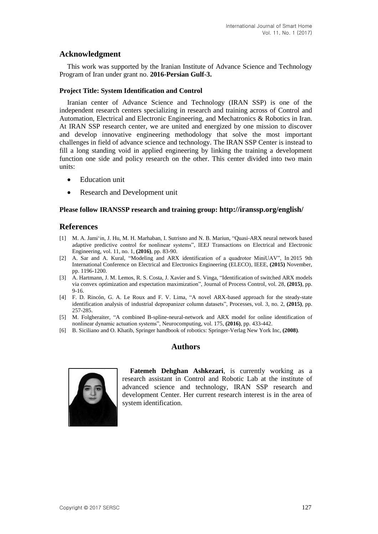### **Acknowledgment**

This work was supported by the Iranian Institute of Advance Science and Technology Program of Iran under grant no. **2016-Persian Gulf-3.**

#### **Project Title: System Identification and Control**

Iranian center of Advance Science and Technology (IRAN SSP) is one of the independent research centers specializing in research and training across of Control and Automation, Electrical and Electronic Engineering, and Mechatronics & Robotics in Iran. At IRAN SSP research center, we are united and energized by one mission to discover and develop innovative engineering methodology that solve the most important challenges in field of advance science and technology. The IRAN SSP Center is instead to fill a long standing void in applied engineering by linking the training a development function one side and policy research on the other. This center divided into two main units:

- Education unit
- Research and Development unit

#### **Please follow IRANSSP research and training group: <http://iranssp.org/english/>**

### **References**

- [1] M. A. Jami'in, J. Hu, M. H. Marhaban, I. Sutrisno and N. B. Mariun, "Quasi‐ARX neural network based adaptive predictive control for nonlinear systems", IEEJ Transactions on Electrical and Electronic Engineering, vol. 11, no. 1, **(2016)**, pp. 83-90.
- [2] A. Sar and A. Kural, "Modeling and ARX identification of a quadrotor MiniUAV", In 2015 9th International Conference on Electrical and Electronics Engineering (ELECO), IEEE, **(2015)** November, pp. 1196-1200.
- [3] A. Hartmann, J. M. Lemos, R. S. Costa, J. Xavier and S. Vinga, "Identification of switched ARX models via convex optimization and expectation maximization", Journal of Process Control, vol. 28, **(2015)**, pp. 9-16.
- [4] F. D. Rincón, G. A. Le Roux and F. V. Lima, "A novel ARX-based approach for the steady-state identification analysis of industrial depropanizer column datasets", Processes, vol. 3, no. 2, **(2015)**, pp. 257-285.
- [5] M. Folgheraiter, "A combined B-spline-neural-network and ARX model for online identification of nonlinear dynamic actuation systems", Neurocomputing, vol. 175, **(2016)**, pp. 433-442.
- [6] B. Siciliano and O. Khatib, Springer handbook of robotics: Springer-Verlag New York Inc, **(2008)**.

### **Authors**



**Fatemeh Dehghan Ashkezari**, is currently working as a research assistant in Control and Robotic Lab at the institute of advanced science and technology, IRAN SSP research and development Center. Her current research interest is in the area of system identification.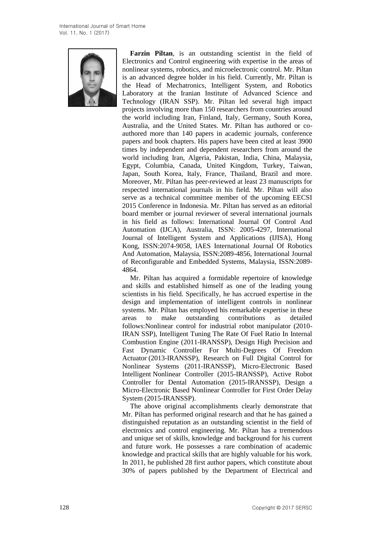

**Farzin Piltan**, is an outstanding scientist in the field of Electronics and Control engineering with expertise in the areas of nonlinear systems, robotics, and microelectronic control. Mr. Piltan is an advanced degree holder in his field. Currently, Mr. Piltan is the Head of Mechatronics, Intelligent System, and Robotics Laboratory at the Iranian Institute of Advanced Science and Technology (IRAN SSP). Mr. Piltan led several high impact projects involving more than 150 researchers from countries around the world including Iran, Finland, Italy, Germany, South Korea, Australia, and the United States. Mr. Piltan has authored or coauthored more than 140 papers in academic journals, conference papers and book chapters. His papers have been cited at least 3900 times by independent and dependent researchers from around the world including Iran, Algeria, Pakistan, India, China, Malaysia, Egypt, Columbia, Canada, United Kingdom, Turkey, Taiwan, Japan, South Korea, Italy, France, Thailand, Brazil and more. Moreover, Mr. Piltan has peer-reviewed at least 23 manuscripts for respected international journals in his field. Mr. Piltan will also serve as a technical committee member of the upcoming EECSI 2015 Conference in Indonesia. Mr. Piltan has served as an editorial board member or journal reviewer of several international journals in his field as follows: International Journal Of Control And Automation (IJCA), Australia, ISSN: 2005-4297, International Journal of Intelligent System and Applications (IJISA), Hong Kong, ISSN:2074-9058, IAES International Journal Of Robotics And Automation, Malaysia, ISSN:2089-4856, International Journal of Reconfigurable and Embedded Systems, Malaysia, ISSN:2089- 4864.

Mr. Piltan has acquired a formidable repertoire of knowledge and skills and established himself as one of the leading young scientists in his field. Specifically, he has accrued expertise in the design and implementation of intelligent controls in nonlinear systems. Mr. Piltan has employed his remarkable expertise in these areas to make outstanding contributions as detailed follows:Nonlinear control for industrial robot manipulator (2010- IRAN SSP), Intelligent Tuning The Rate Of Fuel Ratio In Internal Combustion Engine (2011-IRANSSP), Design High Precision and Fast Dynamic Controller For Multi-Degrees Of Freedom Actuator (2013-IRANSSP), Research on Full Digital Control for Nonlinear Systems (2011-IRANSSP), Micro-Electronic Based Intelligent Nonlinear Controller (2015-IRANSSP), Active Robot Controller for Dental Automation (2015-IRANSSP), Design a Micro-Electronic Based Nonlinear Controller for First Order Delay System (2015-IRANSSP).

The above original accomplishments clearly demonstrate that Mr. Piltan has performed original research and that he has gained a distinguished reputation as an outstanding scientist in the field of electronics and control engineering. Mr. Piltan has a tremendous and unique set of skills, knowledge and background for his current and future work. He possesses a rare combination of academic knowledge and practical skills that are highly valuable for his work. In 2011, he published 28 first author papers, which constitute about 30% of papers published by the Department of Electrical and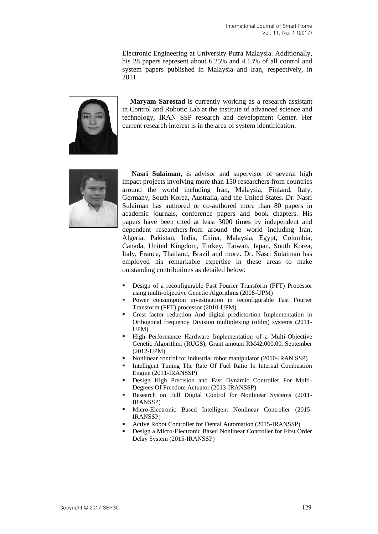Electronic Engineering at University Putra Malaysia. Additionally, his 28 papers represent about 6.25% and 4.13% of all control and system papers published in Malaysia and Iran, respectively, in 2011.



**Maryam Sarostad** is currently working as a research assistant in Control and Robotic Lab at the institute of advanced science and technology, IRAN SSP research and development Center. Her current research interest is in the area of system identification.



**Nasri Sulaiman**, is advisor and supervisor of several high impact projects involving more than 150 researchers from countries around the world including Iran, Malaysia, Finland, Italy, Germany, South Korea, Australia, and the United States. Dr. Nasri Sulaiman has authored or co-authored more than 80 papers in academic journals, conference papers and book chapters. His papers have been cited at least 3000 times by independent and dependent researchers from around the world including Iran, Algeria, Pakistan, India, China, Malaysia, Egypt, Columbia, Canada, United Kingdom, Turkey, Taiwan, Japan, South Korea, Italy, France, Thailand, Brazil and more. Dr. Nasri Sulaiman has employed his remarkable expertise in these areas to make outstanding contributions as detailed below:

- Design of a reconfigurable Fast Fourier Transform (FFT) Processor using multi-objective Genetic Algorithms (2008-UPM)
- Power consumption investigation in reconfigurable Fast Fourier Transform (FFT) processor (2010-UPM)
- Crest factor reduction And digital predistortion Implementation in Orthogonal frequency Division multiplexing (ofdm) systems (2011- UPM)
- **High Performance Hardware Implementation of a Multi-Objective** Genetic Algorithm, (RUGS), Grant amount RM42,000.00, September (2012-UPM)
- Nonlinear control for industrial robot manipulator (2010-IRAN SSP)
- Intelligent Tuning The Rate Of Fuel Ratio In Internal Combustion Engine (2011-IRANSSP)
- Design High Precision and Fast Dynamic Controller For Multi-Degrees Of Freedom Actuator (2013-IRANSSP)
- Research on Full Digital Control for Nonlinear Systems (2011- IRANSSP)
- Micro-Electronic Based Intelligent Nonlinear Controller (2015- IRANSSP)
- Active Robot Controller for Dental Automation (2015-IRANSSP)
- Design a Micro-Electronic Based Nonlinear Controller for First Order Delay System (2015-IRANSSP)